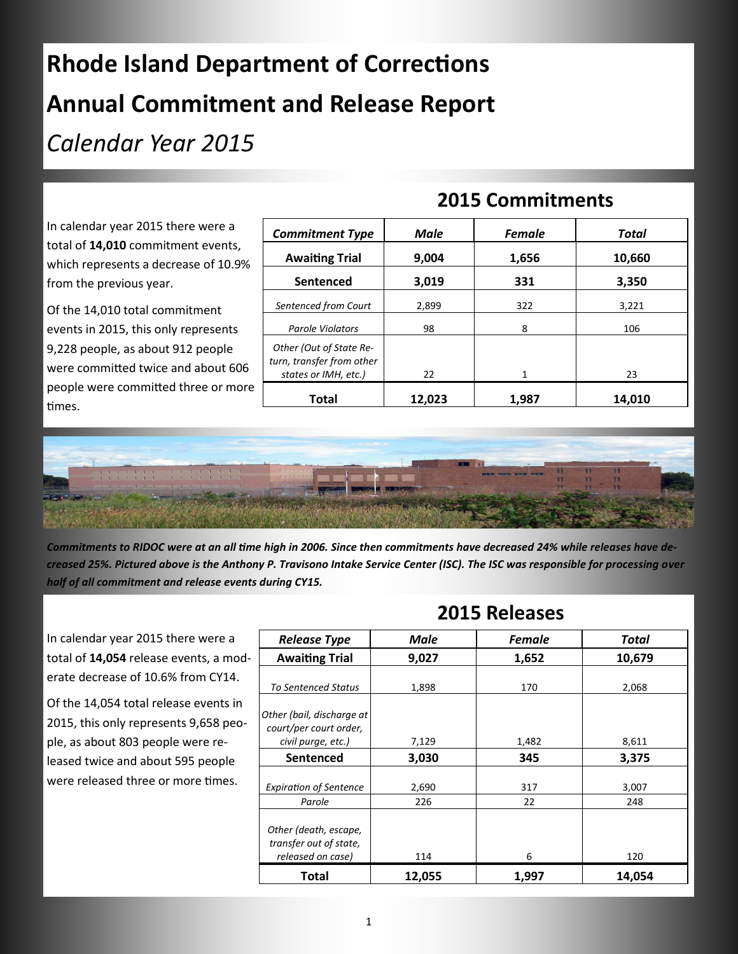## **Rhode Island Department of Corrections Annual Commitment and Release Report**  *Calendar Year 2015*

## **2015 Commitments**

In calendar year 2015 there were a total of **14,010** commitment events, which represents a decrease of 10.9% from the previous year.

Of the 14,010 total commitment events in 2015, this only represents 9,228 people, as about 912 people were committed twice and about 606 people were committed three or more times.

| <b>Commitment Type</b>                                                       | <b>Male</b> | <b>Female</b> | Total  |
|------------------------------------------------------------------------------|-------------|---------------|--------|
| <b>Awaiting Trial</b>                                                        | 9,004       | 1,656         | 10,660 |
| Sentenced                                                                    | 3,019       | 331           | 3,350  |
| Sentenced from Court                                                         | 2,899       | 322           | 3,221  |
| <b>Parole Violators</b>                                                      | 98          | 8             | 106    |
| Other (Out of State Re-<br>turn, transfer from other<br>states or IMH, etc.) | 22          | 1             | 23     |
| Total                                                                        | 12,023      | 1,987         | 14.010 |



*Commitments to RIDOC were at an all time high in 2006. Since then commitments have decreased 24% while releases have decreased 25%. Pictured above is the Anthony P. Travisono Intake Service Center (ISC). The ISC was responsible for processing over half of all commitment and release events during CY15.*

In calendar year 2015 there were a total of **14,054** release events, a moderate decrease of 10.6% from CY14.

Of the 14,054 total release events in 2015, this only represents 9,658 people, as about 803 people were released twice and about 595 people were released three or more times.

| <b>Release Type</b>                                                       | Male         | <b>Female</b> | Total        |
|---------------------------------------------------------------------------|--------------|---------------|--------------|
| <b>Awaiting Trial</b>                                                     | 9,027        | 1,652         | 10,679       |
| <b>To Sentenced Status</b>                                                | 1,898        | 170           | 2,068        |
| Other (bail, discharge at<br>court/per court order,<br>civil purge, etc.) | 7,129        | 1,482         | 8,611        |
| <b>Sentenced</b>                                                          | 3,030        | 345           | 3,375        |
| <b>Expiration of Sentence</b><br>Parole                                   | 2,690<br>226 | 317<br>22     | 3,007<br>248 |
| Other (death, escape,<br>transfer out of state,<br>released on case)      | 114          | 6             | 120          |
| Total                                                                     | 12,055       | 1,997         | 14,054       |

**2015 Releases**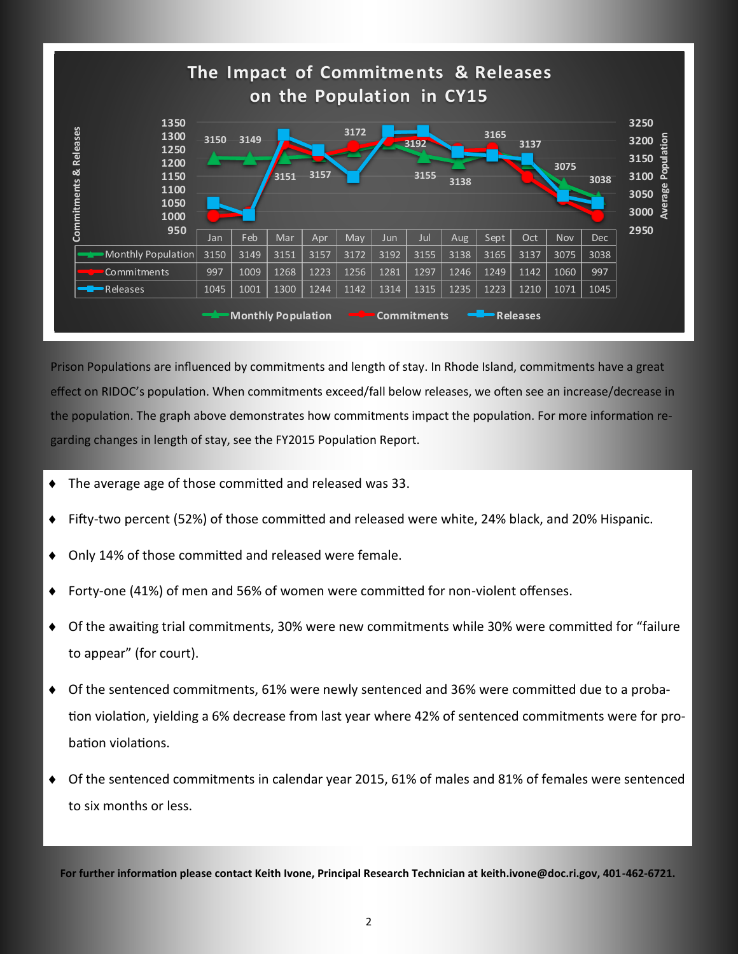

Prison Populations are influenced by commitments and length of stay. In Rhode Island, commitments have a great effect on RIDOC's population. When commitments exceed/fall below releases, we often see an increase/decrease in the population. The graph above demonstrates how commitments impact the population. For more information regarding changes in length of stay, see the FY2015 Population Report.

- The average age of those committed and released was 33.
- Fifty-two percent (52%) of those committed and released were white, 24% black, and 20% Hispanic.
- Only 14% of those committed and released were female.
- Forty-one (41%) of men and 56% of women were committed for non-violent offenses.
- Of the awaiting trial commitments, 30% were new commitments while 30% were committed for "failure to appear" (for court).
- Of the sentenced commitments, 61% were newly sentenced and 36% were committed due to a probation violation, yielding a 6% decrease from last year where 42% of sentenced commitments were for probation violations.
- Of the sentenced commitments in calendar year 2015, 61% of males and 81% of females were sentenced to six months or less.

**For further information please contact Keith Ivone, Principal Research Technician at keith.ivone@doc.ri.gov, 401-462-6721.**